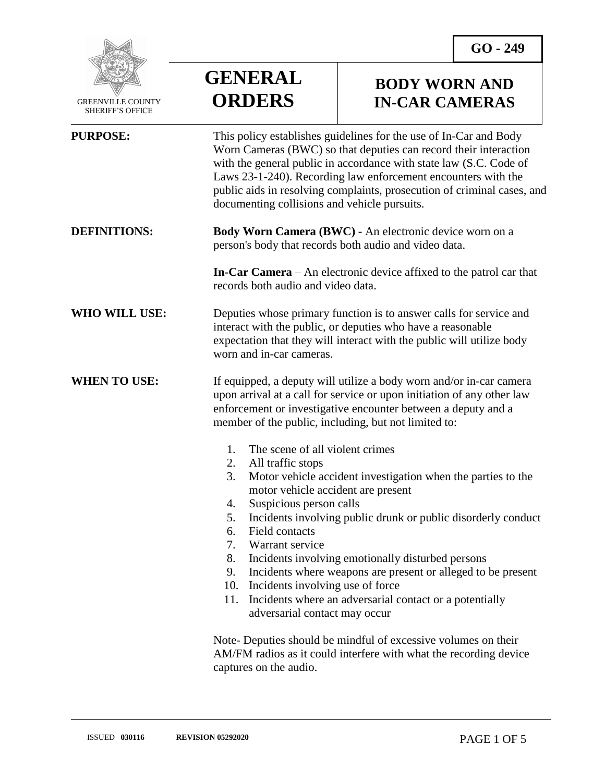

 GREENVILLE COUNTY SHERIFF'S OFFICE

# **GENERAL ORDERS**

### **BODY WORN AND IN-CAR CAMERAS**

| <b>PURPOSE:</b>      | This policy establishes guidelines for the use of In-Car and Body<br>Worn Cameras (BWC) so that deputies can record their interaction<br>with the general public in accordance with state law (S.C. Code of<br>Laws 23-1-240). Recording law enforcement encounters with the<br>public aids in resolving complaints, prosecution of criminal cases, and<br>documenting collisions and vehicle pursuits.                                                                                                                                                                                                              |
|----------------------|----------------------------------------------------------------------------------------------------------------------------------------------------------------------------------------------------------------------------------------------------------------------------------------------------------------------------------------------------------------------------------------------------------------------------------------------------------------------------------------------------------------------------------------------------------------------------------------------------------------------|
| <b>DEFINITIONS:</b>  | Body Worn Camera (BWC) - An electronic device worn on a<br>person's body that records both audio and video data.                                                                                                                                                                                                                                                                                                                                                                                                                                                                                                     |
|                      | <b>In-Car Camera</b> – An electronic device affixed to the patrol car that<br>records both audio and video data.                                                                                                                                                                                                                                                                                                                                                                                                                                                                                                     |
| <b>WHO WILL USE:</b> | Deputies whose primary function is to answer calls for service and<br>interact with the public, or deputies who have a reasonable<br>expectation that they will interact with the public will utilize body<br>worn and in-car cameras.                                                                                                                                                                                                                                                                                                                                                                               |
| <b>WHEN TO USE:</b>  | If equipped, a deputy will utilize a body worn and/or in-car camera<br>upon arrival at a call for service or upon initiation of any other law<br>enforcement or investigative encounter between a deputy and a<br>member of the public, including, but not limited to:                                                                                                                                                                                                                                                                                                                                               |
|                      | 1.<br>The scene of all violent crimes<br>All traffic stops<br>2.<br>3.<br>Motor vehicle accident investigation when the parties to the<br>motor vehicle accident are present<br>Suspicious person calls<br>4.<br>Incidents involving public drunk or public disorderly conduct<br>5.<br>Field contacts<br>6.<br>7.<br>Warrant service<br>8.<br>Incidents involving emotionally disturbed persons<br>Incidents where weapons are present or alleged to be present<br>9.<br>Incidents involving use of force<br>10.<br>Incidents where an adversarial contact or a potentially<br>11.<br>adversarial contact may occur |
|                      | Note-Deputies should be mindful of excessive volumes on their<br>AM/FM radios as it could interfere with what the recording device<br>captures on the audio.                                                                                                                                                                                                                                                                                                                                                                                                                                                         |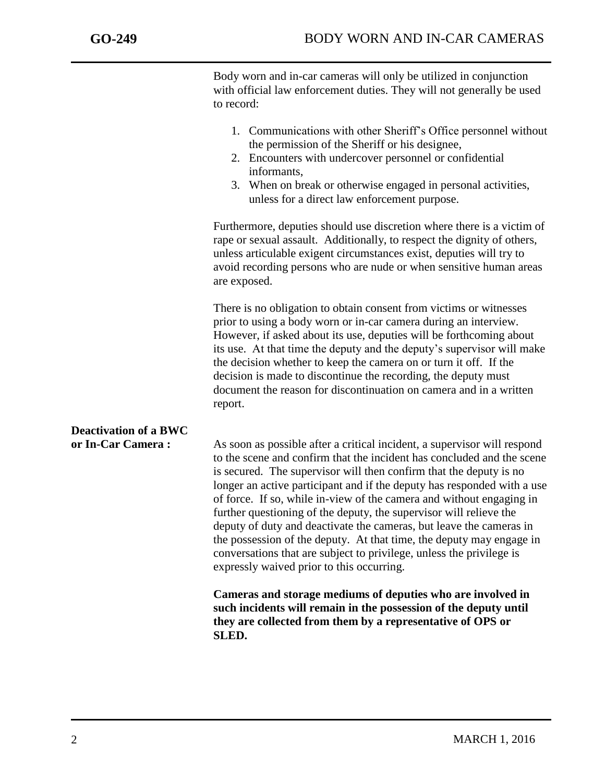j

Body worn and in-car cameras will only be utilized in conjunction with official law enforcement duties. They will not generally be used to record:

- 1. Communications with other Sheriff's Office personnel without the permission of the Sheriff or his designee,
- 2. Encounters with undercover personnel or confidential informants,
- 3. When on break or otherwise engaged in personal activities, unless for a direct law enforcement purpose.

Furthermore, deputies should use discretion where there is a victim of rape or sexual assault. Additionally, to respect the dignity of others, unless articulable exigent circumstances exist, deputies will try to avoid recording persons who are nude or when sensitive human areas are exposed.

There is no obligation to obtain consent from victims or witnesses prior to using a body worn or in-car camera during an interview. However, if asked about its use, deputies will be forthcoming about its use. At that time the deputy and the deputy's supervisor will make the decision whether to keep the camera on or turn it off. If the decision is made to discontinue the recording, the deputy must document the reason for discontinuation on camera and in a written report.

## **Deactivation of a BWC**

or In-Car Camera : As soon as possible after a critical incident, a supervisor will respond to the scene and confirm that the incident has concluded and the scene is secured. The supervisor will then confirm that the deputy is no longer an active participant and if the deputy has responded with a use of force. If so, while in-view of the camera and without engaging in further questioning of the deputy, the supervisor will relieve the deputy of duty and deactivate the cameras, but leave the cameras in the possession of the deputy. At that time, the deputy may engage in conversations that are subject to privilege, unless the privilege is expressly waived prior to this occurring.

> **Cameras and storage mediums of deputies who are involved in such incidents will remain in the possession of the deputy until they are collected from them by a representative of OPS or SLED.**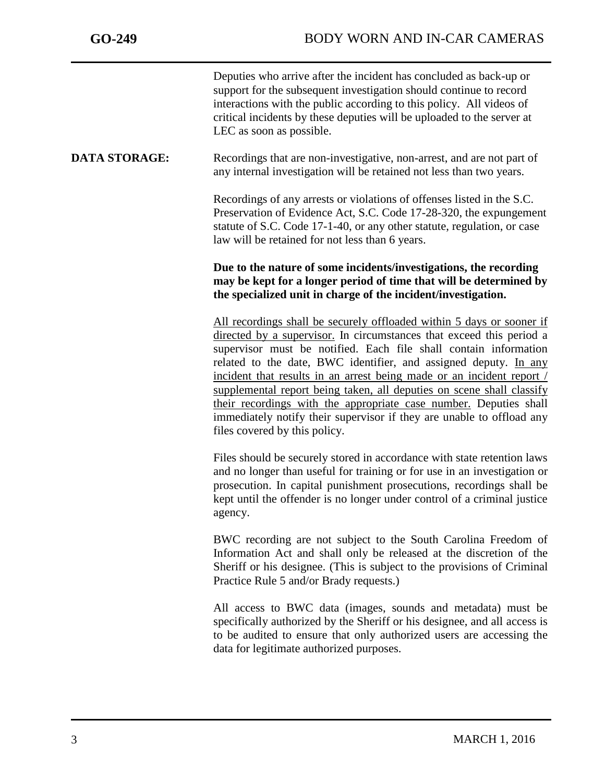j

Deputies who arrive after the incident has concluded as back-up or support for the subsequent investigation should continue to record interactions with the public according to this policy. All videos of critical incidents by these deputies will be uploaded to the server at LEC as soon as possible.

#### **DATA STORAGE:** Recordings that are non-investigative, non-arrest, and are not part of any internal investigation will be retained not less than two years.

Recordings of any arrests or violations of offenses listed in the S.C. Preservation of Evidence Act, S.C. Code 17-28-320, the expungement statute of S.C. Code 17-1-40, or any other statute, regulation, or case law will be retained for not less than 6 years.

### **Due to the nature of some incidents/investigations, the recording may be kept for a longer period of time that will be determined by the specialized unit in charge of the incident/investigation.**

All recordings shall be securely offloaded within 5 days or sooner if directed by a supervisor. In circumstances that exceed this period a supervisor must be notified. Each file shall contain information related to the date, BWC identifier, and assigned deputy. In any incident that results in an arrest being made or an incident report / supplemental report being taken, all deputies on scene shall classify their recordings with the appropriate case number. Deputies shall immediately notify their supervisor if they are unable to offload any files covered by this policy.

Files should be securely stored in accordance with state retention laws and no longer than useful for training or for use in an investigation or prosecution. In capital punishment prosecutions, recordings shall be kept until the offender is no longer under control of a criminal justice agency.

BWC recording are not subject to the South Carolina Freedom of Information Act and shall only be released at the discretion of the Sheriff or his designee. (This is subject to the provisions of Criminal Practice Rule 5 and/or Brady requests.)

All access to BWC data (images, sounds and metadata) must be specifically authorized by the Sheriff or his designee, and all access is to be audited to ensure that only authorized users are accessing the data for legitimate authorized purposes.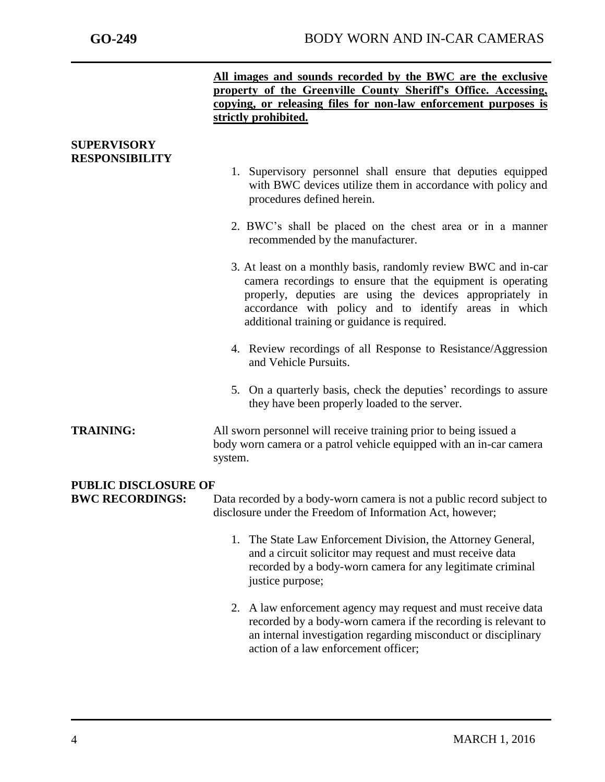|                                                | All images and sounds recorded by the BWC are the exclusive<br>property of the Greenville County Sheriff's Office. Accessing,<br>copying, or releasing files for non-law enforcement purposes is<br>strictly prohibited.                                                                            |
|------------------------------------------------|-----------------------------------------------------------------------------------------------------------------------------------------------------------------------------------------------------------------------------------------------------------------------------------------------------|
| <b>SUPERVISORY</b><br><b>RESPONSIBILITY</b>    |                                                                                                                                                                                                                                                                                                     |
|                                                | 1. Supervisory personnel shall ensure that deputies equipped<br>with BWC devices utilize them in accordance with policy and<br>procedures defined herein.                                                                                                                                           |
|                                                | 2. BWC's shall be placed on the chest area or in a manner<br>recommended by the manufacturer.                                                                                                                                                                                                       |
|                                                | 3. At least on a monthly basis, randomly review BWC and in-car<br>camera recordings to ensure that the equipment is operating<br>properly, deputies are using the devices appropriately in<br>accordance with policy and to identify areas in which<br>additional training or guidance is required. |
|                                                | 4. Review recordings of all Response to Resistance/Aggression<br>and Vehicle Pursuits.                                                                                                                                                                                                              |
|                                                | 5. On a quarterly basis, check the deputies' recordings to assure<br>they have been properly loaded to the server.                                                                                                                                                                                  |
| <b>TRAINING:</b>                               | All sworn personnel will receive training prior to being issued a<br>body worn camera or a patrol vehicle equipped with an in-car camera<br>system.                                                                                                                                                 |
|                                                |                                                                                                                                                                                                                                                                                                     |
| PUBLIC DISCLOSURE OF<br><b>BWC RECORDINGS:</b> | Data recorded by a body-worn camera is not a public record subject to<br>disclosure under the Freedom of Information Act, however;                                                                                                                                                                  |
|                                                | 1. The State Law Enforcement Division, the Attorney General,<br>and a circuit solicitor may request and must receive data<br>recorded by a body-worn camera for any legitimate criminal<br>justice purpose;                                                                                         |
|                                                | 2. A law enforcement agency may request and must receive data<br>recorded by a body-worn camera if the recording is relevant to<br>an internal investigation regarding misconduct or disciplinary<br>action of a law enforcement officer;                                                           |